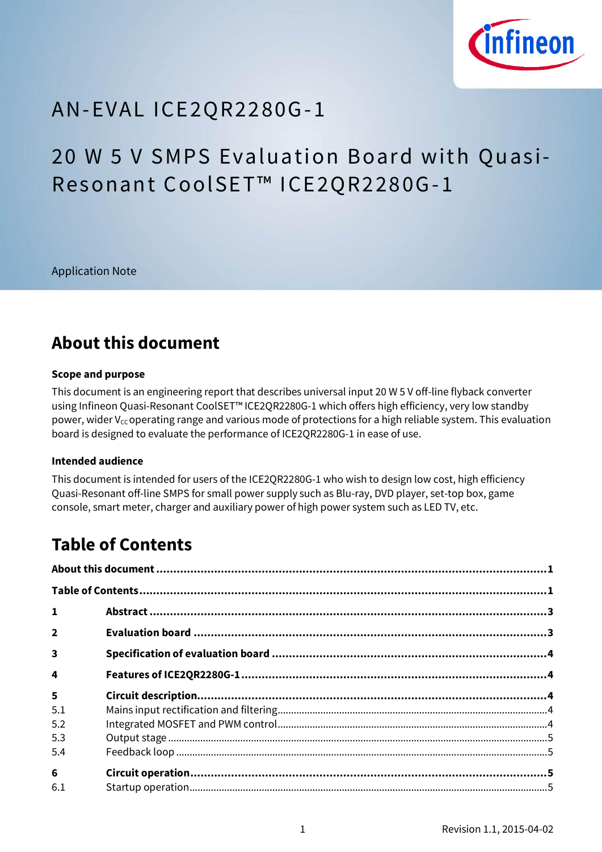

# AN-EVAL IC E2 QR2 2 8 0G-1

# 20 W 5 V SMPS Evaluation Board with Quasi-Resonant CoolSET™ ICE2QR2280G-1

Application Note

## <span id="page-0-0"></span>**About this document**

#### **Scope and purpose**

This document is an engineering report that describes universal input 20 W 5 V off-line flyback converter using Infineon Quasi-Resonant CoolSET™ ICE2QR2280G-1 which offers high efficiency, very low standby power, wider V<sub>cc</sub> operating range and various mode of protections for a high reliable system. This evaluation board is designed to evaluate the performance of ICE2QR2280G-1 in ease of use.

#### **Intended audience**

This document is intended for users of the ICE2QR2280G-1 who wish to design low cost, high efficiency Quasi-Resonant off-line SMPS for small power supply such as Blu-ray, DVD player, set-top box, game console, smart meter, charger and auxiliary power of high power system such as LED TV, etc.

## <span id="page-0-1"></span>**Table of Contents**

| $\mathbf{1}$            |  |  |  |  |
|-------------------------|--|--|--|--|
| $\overline{2}$          |  |  |  |  |
| $\overline{\mathbf{3}}$ |  |  |  |  |
| 4                       |  |  |  |  |
| $\overline{5}$          |  |  |  |  |
| 5.1                     |  |  |  |  |
| 5.2                     |  |  |  |  |
| 5.3                     |  |  |  |  |
| 5.4                     |  |  |  |  |
| $6\phantom{1}$          |  |  |  |  |
| 6.1                     |  |  |  |  |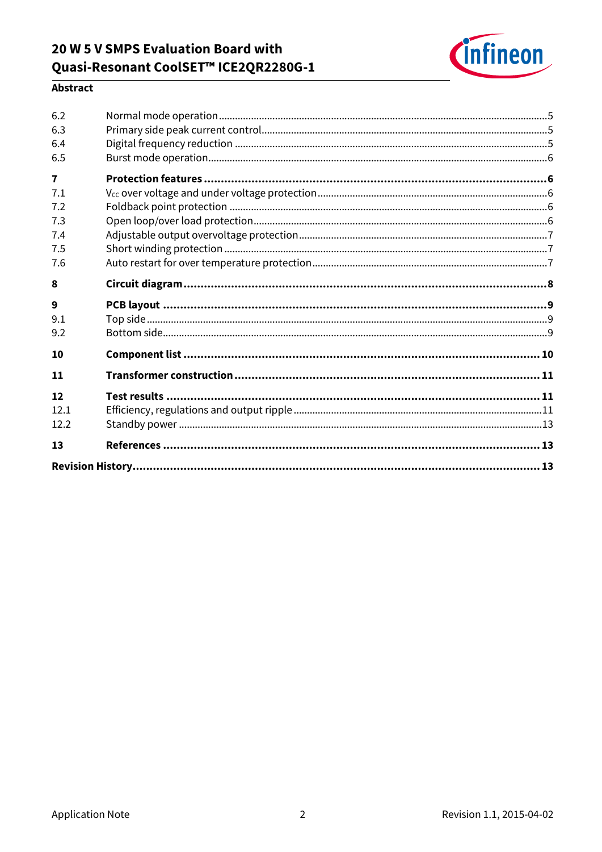### 20 W 5 V SMPS Evaluation Board with Quasi-Resonant CoolSET™ ICE2QR2280G-1



### Abstract

| 13           |  |
|--------------|--|
| 12.2         |  |
| 12<br>12.1   |  |
|              |  |
| 11           |  |
| 10           |  |
| 9.2          |  |
| 9.1          |  |
| 9            |  |
| 8            |  |
| 7.6          |  |
| 7.4<br>7.5   |  |
| 7.3          |  |
| 7.2          |  |
| 7.1          |  |
| $\mathbf{7}$ |  |
| 6.5          |  |
| 6.4          |  |
| 6.3          |  |
| 6.2          |  |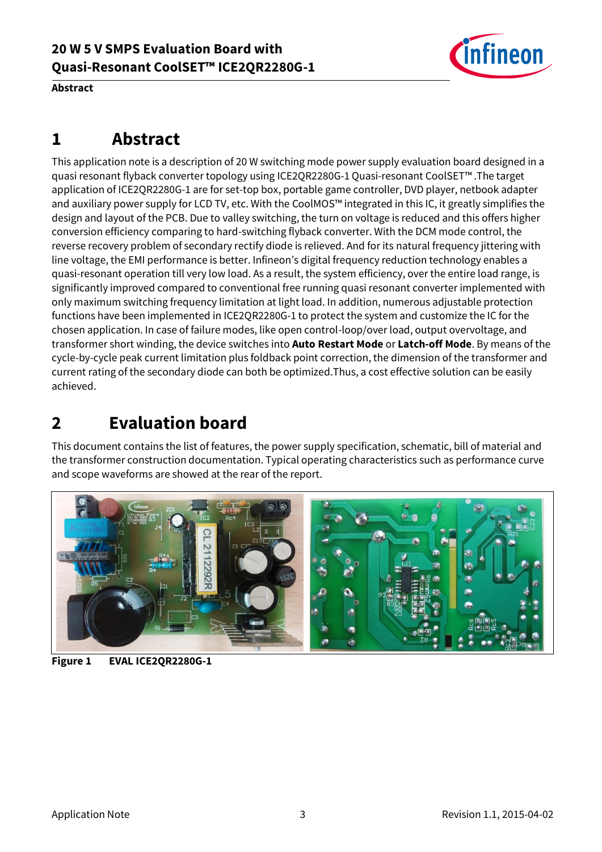

**Abstract**

# <span id="page-2-0"></span>**1 Abstract**

This application note is a description of 20 W switching mode power supply evaluation board designed in a quasi resonant flyback converter topology using ICE2QR2280G-1 Quasi-resonant CoolSET™ .The target application of ICE2QR2280G-1 are for set-top box, portable game controller, DVD player, netbook adapter and auxiliary power supply for LCD TV, etc. With the CoolMOS™ integrated in this IC, it greatly simplifies the design and layout of the PCB. Due to valley switching, the turn on voltage is reduced and this offers higher conversion efficiency comparing to hard-switching flyback converter. With the DCM mode control, the reverse recovery problem of secondary rectify diode is relieved. And for its natural frequency jittering with line voltage, the EMI performance is better. Infineon's digital frequency reduction technology enables a quasi-resonant operation till very low load. As a result, the system efficiency, over the entire load range, is significantly improved compared to conventional free running quasi resonant converter implemented with only maximum switching frequency limitation at light load. In addition, numerous adjustable protection functions have been implemented in ICE2QR2280G-1 to protect the system and customize the IC for the chosen application. In case of failure modes, like open control-loop/over load, output overvoltage, and transformer short winding, the device switches into **Auto Restart Mode** or **Latch-off Mode**. By means of the cycle-by-cycle peak current limitation plus foldback point correction, the dimension of the transformer and current rating of the secondary diode can both be optimized.Thus, a cost effective solution can be easily achieved.

# <span id="page-2-1"></span>**2 Evaluation board**

This document contains the list of features, the power supply specification, schematic, bill of material and the transformer construction documentation. Typical operating characteristics such as performance curve and scope waveforms are showed at the rear of the report.



**Figure 1 EVAL ICE2QR2280G-1**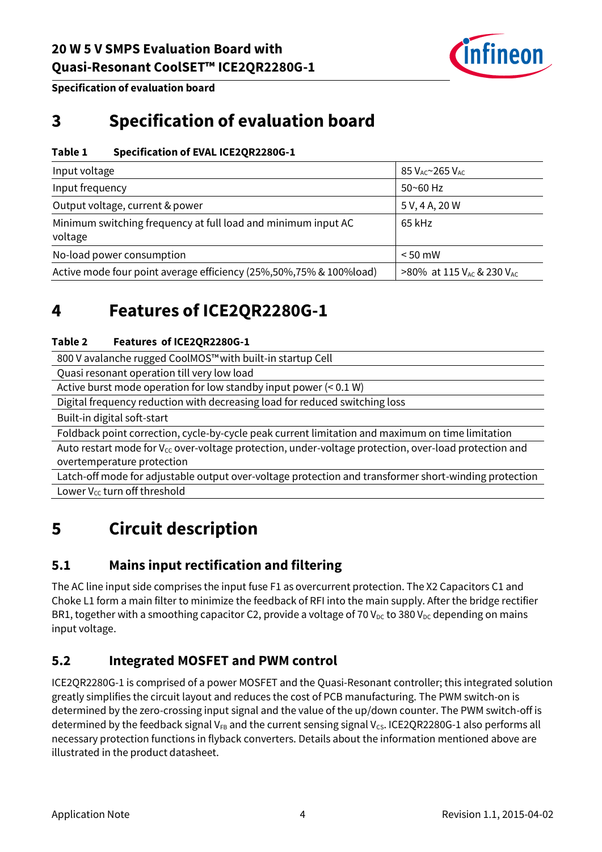

**Specification of evaluation board**

# <span id="page-3-0"></span>**3 Specification of evaluation board**

#### **Table 1 Specification of EVAL ICE2QR2280G-1**

| Input voltage                                                            | $85$ $V_{AC}$ $\sim$ 265 $V_{AC}$                 |
|--------------------------------------------------------------------------|---------------------------------------------------|
| Input frequency                                                          | $50 - 60$ Hz                                      |
| Output voltage, current & power                                          | 5 V, 4 A, 20 W                                    |
| Minimum switching frequency at full load and minimum input AC<br>voltage | 65 kHz                                            |
| No-load power consumption                                                | $< 50$ mW                                         |
| Active mode four point average efficiency (25%,50%,75% & 100%load)       | >80% at 115 V <sub>AC</sub> & 230 V <sub>AC</sub> |

## <span id="page-3-1"></span>**4 Features of ICE2QR2280G-1**

#### **Table 2 Features of ICE2QR2280G-1**

800 V avalanche rugged CoolMOS™with built-in startup Cell

Quasi resonant operation till very low load

Active burst mode operation for low standby input power (< 0.1 W)

Digital frequency reduction with decreasing load for reduced switching loss

Built-in digital soft-start

Foldback point correction, cycle-by-cycle peak current limitation and maximum on time limitation

Auto restart mode for  $V_{cc}$  over-voltage protection, under-voltage protection, over-load protection and overtemperature protection

Latch-off mode for adjustable output over-voltage protection and transformer short-winding protection Lower V<sub>cc</sub> turn off threshold

# <span id="page-3-2"></span>**5 Circuit description**

### <span id="page-3-3"></span>**5.1 Mains input rectification and filtering**

The AC line input side comprises the input fuse F1 as overcurrent protection. The X2 Capacitors C1 and Choke L1 form a main filter to minimize the feedback of RFI into the main supply. After the bridge rectifier BR1, together with a smoothing capacitor C2, provide a voltage of 70  $V_{DC}$  to 380  $V_{DC}$  depending on mains input voltage.

### <span id="page-3-4"></span>**5.2 Integrated MOSFET and PWM control**

ICE2QR2280G-1 is comprised of a power MOSFET and the Quasi-Resonant controller; this integrated solution greatly simplifies the circuit layout and reduces the cost of PCB manufacturing. The PWM switch-on is determined by the zero-crossing input signal and the value of the up/down counter. The PWM switch-off is determined by the feedback signal V<sub>FB</sub> and the current sensing signal V<sub>CS</sub>. ICE2QR2280G-1 also performs all necessary protection functions in flyback converters. Details about the information mentioned above are illustrated in the product datasheet.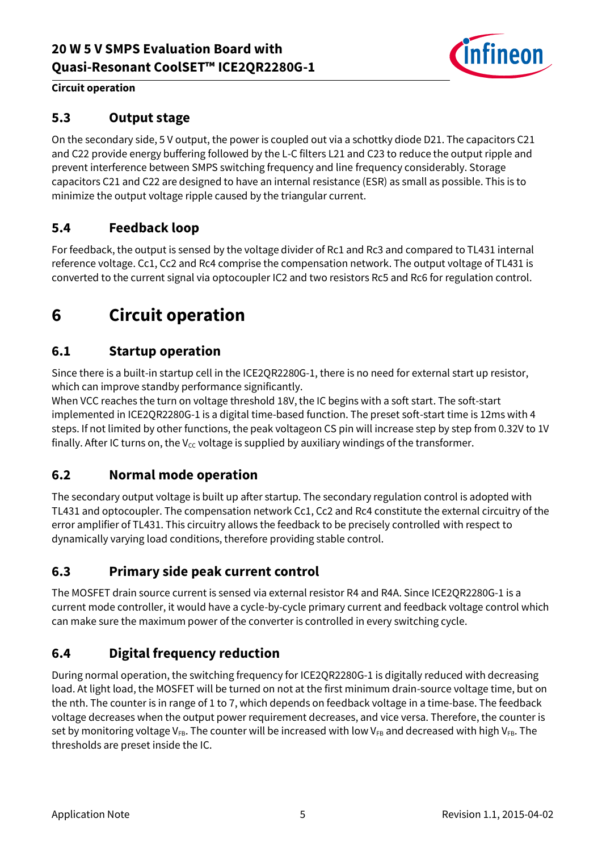

#### **Circuit operation**

#### <span id="page-4-0"></span>**5.3 Output stage**

On the secondary side, 5 V output, the power is coupled out via a schottky diode D21. The capacitors C21 and C22 provide energy buffering followed by the L-C filters L21 and C23 to reduce the output ripple and prevent interference between SMPS switching frequency and line frequency considerably. Storage capacitors C21 and C22 are designed to have an internal resistance (ESR) as small as possible. This is to minimize the output voltage ripple caused by the triangular current.

### <span id="page-4-1"></span>**5.4 Feedback loop**

For feedback, the output is sensed by the voltage divider of Rc1 and Rc3 and compared to TL431 internal reference voltage. Cc1, Cc2 and Rc4 comprise the compensation network. The output voltage of TL431 is converted to the current signal via optocoupler IC2 and two resistors Rc5 and Rc6 for regulation control.

# <span id="page-4-2"></span>**6 Circuit operation**

### <span id="page-4-3"></span>**6.1 Startup operation**

Since there is a built-in startup cell in the ICE2QR2280G-1, there is no need for external start up resistor, which can improve standby performance significantly.

When VCC reaches the turn on voltage threshold 18V, the IC begins with a soft start. The soft-start implemented in ICE2QR2280G-1 is a digital time-based function. The preset soft-start time is 12ms with 4 steps. If not limited by other functions, the peak voltageon CS pin will increase step by step from 0.32V to 1V finally. After IC turns on, the V<sub>cc</sub> voltage is supplied by auxiliary windings of the transformer.

#### <span id="page-4-4"></span>**6.2 Normal mode operation**

The secondary output voltage is built up after startup. The secondary regulation control is adopted with TL431 and optocoupler. The compensation network Cc1, Cc2 and Rc4 constitute the external circuitry of the error amplifier of TL431. This circuitry allows the feedback to be precisely controlled with respect to dynamically varying load conditions, therefore providing stable control.

### <span id="page-4-5"></span>**6.3 Primary side peak current control**

The MOSFET drain source current is sensed via external resistor R4 and R4A. Since ICE2QR2280G-1 is a current mode controller, it would have a cycle-by-cycle primary current and feedback voltage control which can make sure the maximum power of the converter is controlled in every switching cycle.

### <span id="page-4-6"></span>**6.4 Digital frequency reduction**

During normal operation, the switching frequency for ICE2QR2280G-1 is digitally reduced with decreasing load. At light load, the MOSFET will be turned on not at the first minimum drain-source voltage time, but on the nth. The counter is in range of 1 to 7, which depends on feedback voltage in a time-base. The feedback voltage decreases when the output power requirement decreases, and vice versa. Therefore, the counter is set by monitoring voltage V<sub>FB</sub>. The counter will be increased with low V<sub>FB</sub> and decreased with high V<sub>FB</sub>. The thresholds are preset inside the IC.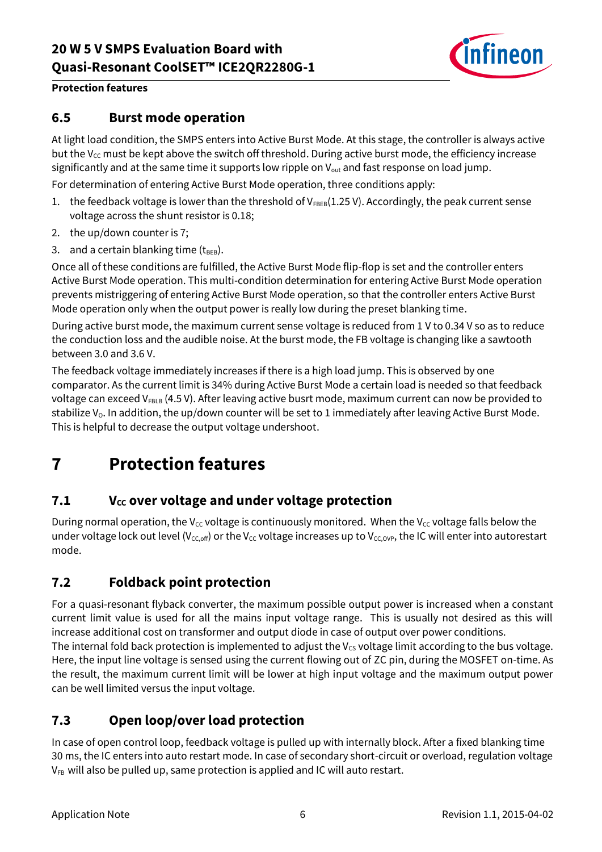

#### **Protection features**

#### <span id="page-5-0"></span>**6.5 Burst mode operation**

At light load condition, the SMPS enters into Active Burst Mode. At this stage, the controller is always active but the  $V_{cc}$  must be kept above the switch off threshold. During active burst mode, the efficiency increase significantly and at the same time it supports low ripple on  $V_{\text{out}}$  and fast response on load jump.

For determination of entering Active Burst Mode operation, three conditions apply:

- 1. the feedback voltage is lower than the threshold of  $V_{FBEB}(1.25 V)$ . Accordingly, the peak current sense voltage across the shunt resistor is 0.18;
- 2. the up/down counter is 7;
- 3. and a certain blanking time  $(t_{\text{BEB}})$ .

Once all of these conditions are fulfilled, the Active Burst Mode flip-flop is set and the controller enters Active Burst Mode operation. This multi-condition determination for entering Active Burst Mode operation prevents mistriggering of entering Active Burst Mode operation, so that the controller enters Active Burst Mode operation only when the output power is really low during the preset blanking time.

During active burst mode, the maximum current sense voltage is reduced from 1 V to 0.34 V so as to reduce the conduction loss and the audible noise. At the burst mode, the FB voltage is changing like a sawtooth between 3.0 and 3.6 V.

The feedback voltage immediately increases if there is a high load jump. This is observed by one comparator. As the current limit is 34% during Active Burst Mode a certain load is needed so that feedback voltage can exceed  $V_{FBLB}$  (4.5 V). After leaving active busrt mode, maximum current can now be provided to stabilize V<sub>0</sub>. In addition, the up/down counter will be set to 1 immediately after leaving Active Burst Mode. This is helpful to decrease the output voltage undershoot.

# <span id="page-5-1"></span>**7 Protection features**

#### <span id="page-5-2"></span>**7.1 VCC over voltage and under voltage protection**

During normal operation, the V<sub>CC</sub> voltage is continuously monitored. When the V<sub>CC</sub> voltage falls below the under voltage lock out level (V<sub>CC,off</sub>) or the V<sub>CC</sub> voltage increases up to V<sub>CC,OVP</sub>, the IC will enter into autorestart mode.

#### <span id="page-5-3"></span>**7.2 Foldback point protection**

For a quasi-resonant flyback converter, the maximum possible output power is increased when a constant current limit value is used for all the mains input voltage range. This is usually not desired as this will increase additional cost on transformer and output diode in case of output over power conditions. The internal fold back protection is implemented to adjust the  $V_{CS}$  voltage limit according to the bus voltage. Here, the input line voltage is sensed using the current flowing out of ZC pin, during the MOSFET on-time. As the result, the maximum current limit will be lower at high input voltage and the maximum output power can be well limited versus the input voltage.

### <span id="page-5-4"></span>**7.3 Open loop/over load protection**

In case of open control loop, feedback voltage is pulled up with internally block. After a fixed blanking time 30 ms, the IC enters into auto restart mode. In case of secondary short-circuit or overload, regulation voltage  $V_{FB}$  will also be pulled up, same protection is applied and IC will auto restart.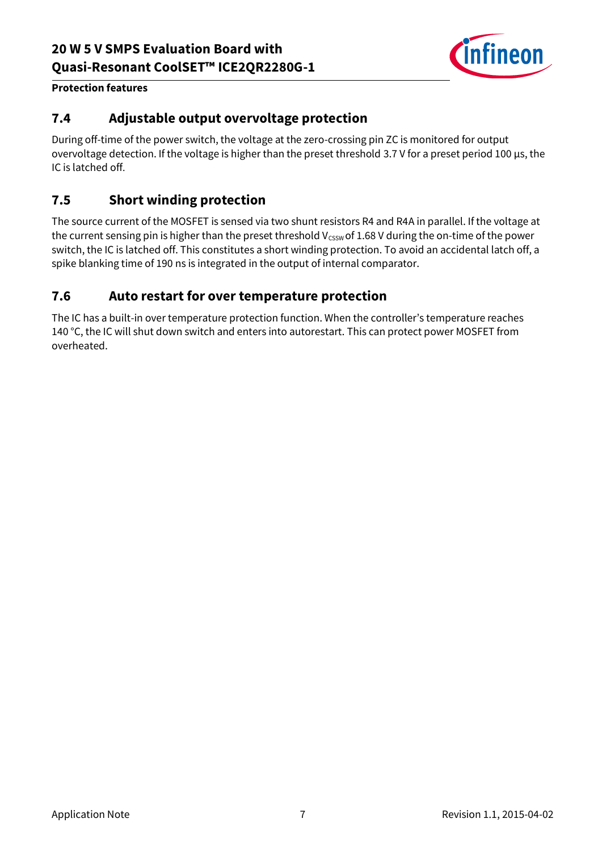

#### **Protection features**

### <span id="page-6-0"></span>**7.4 Adjustable output overvoltage protection**

During off-time of the power switch, the voltage at the zero-crossing pin ZC is monitored for output overvoltage detection. If the voltage is higher than the preset threshold 3.7 V for a preset period 100 μs, the IC is latched off.

### <span id="page-6-1"></span>**7.5 Short winding protection**

The source current of the MOSFET is sensed via two shunt resistors R4 and R4A in parallel. If the voltage at the current sensing pin is higher than the preset threshold  $V_{CSSW}$  of 1.68 V during the on-time of the power switch, the IC is latched off. This constitutes a short winding protection. To avoid an accidental latch off, a spike blanking time of 190 ns is integrated in the output of internal comparator.

#### <span id="page-6-2"></span>**7.6 Auto restart for over temperature protection**

The IC has a built-in over temperature protection function. When the controller's temperature reaches 140 °C, the IC will shut down switch and enters into autorestart. This can protect power MOSFET from overheated.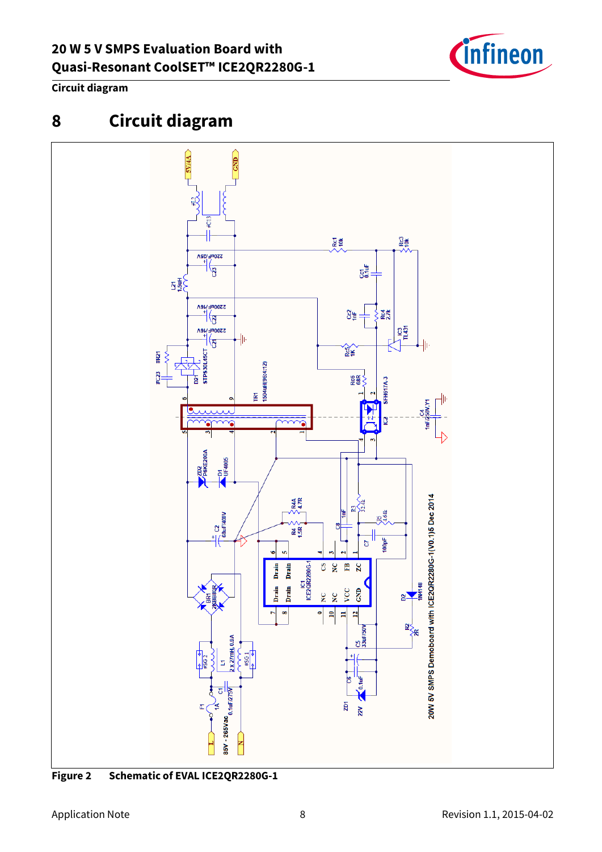

#### **Circuit diagram**

# <span id="page-7-0"></span>**8 Circuit diagram**



**Figure 2 Schematic of EVAL ICE2QR2280G-1**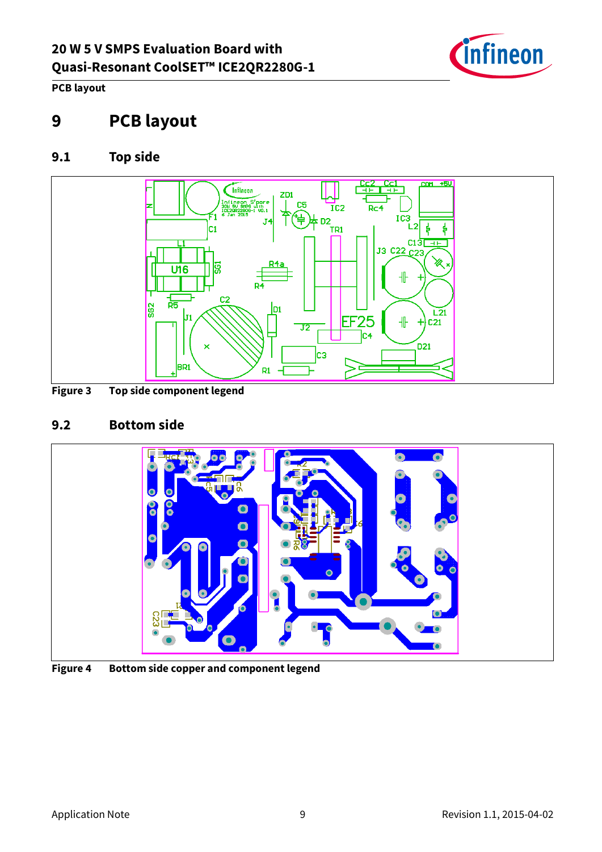

**PCB layout**

## <span id="page-8-0"></span>**9 PCB layout**

### <span id="page-8-1"></span>**9.1 Top side**



**Figure 3 Top side component legend**

### <span id="page-8-2"></span>**9.2 Bottom side**



**Figure 4 Bottom side copper and component legend**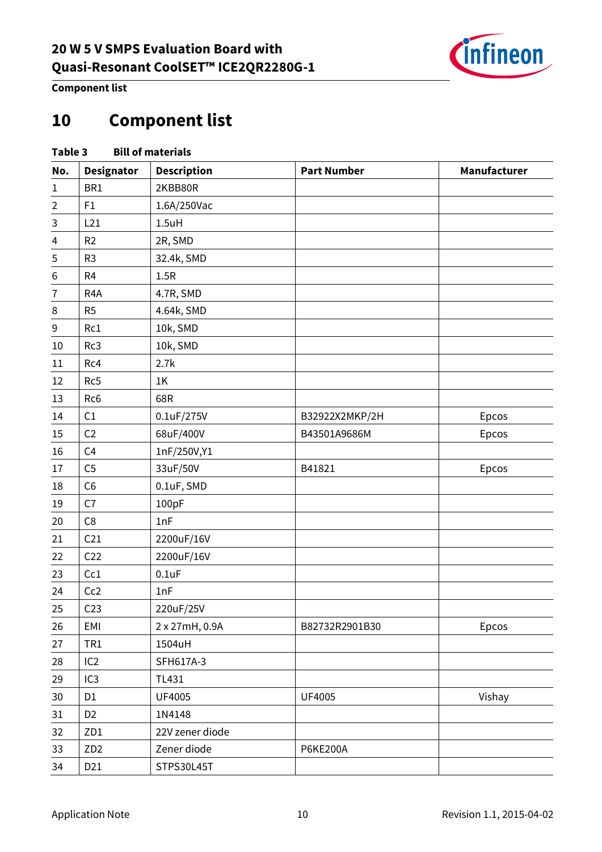

**Component list**

# <span id="page-9-0"></span>**Component list**

|                  | <b>Bill of materials</b><br>Table 3 |                    |                    |              |  |
|------------------|-------------------------------------|--------------------|--------------------|--------------|--|
| No.              | <b>Designator</b>                   | <b>Description</b> | <b>Part Number</b> | Manufacturer |  |
| $\mathbf{1}$     | BR1                                 | 2KBB80R            |                    |              |  |
| $\overline{2}$   | F1                                  | 1.6A/250Vac        |                    |              |  |
| 3                | L21                                 | $1.5$ uH           |                    |              |  |
| $\overline{4}$   | R2                                  | 2R, SMD            |                    |              |  |
| $\mathsf 5$      | R <sub>3</sub>                      | 32.4k, SMD         |                    |              |  |
| $\,$ 6 $\,$      | R <sub>4</sub>                      | 1.5R               |                    |              |  |
| $\overline{7}$   | R <sub>4</sub> A                    | 4.7R, SMD          |                    |              |  |
| 8                | R <sub>5</sub>                      | 4.64k, SMD         |                    |              |  |
| $\boldsymbol{9}$ | Rc1                                 | 10k, SMD           |                    |              |  |
| 10               | Rc3                                 | 10k, SMD           |                    |              |  |
| 11               | Rc4                                 | 2.7k               |                    |              |  |
| 12               | Rc5                                 | 1K                 |                    |              |  |
| 13               | Rc <sub>6</sub>                     | 68R                |                    |              |  |
| 14               | C1                                  | 0.1uF/275V         | B32922X2MKP/2H     | Epcos        |  |
| 15               | C <sub>2</sub>                      | 68uF/400V          | B43501A9686M       | Epcos        |  |
| 16               | C <sub>4</sub>                      | 1nF/250V,Y1        |                    |              |  |
| $17\,$           | C <sub>5</sub>                      | 33uF/50V           | B41821             | Epcos        |  |
| 18               | C <sub>6</sub>                      | 0.1uF, SMD         |                    |              |  |
| 19               | C7                                  | 100pF              |                    |              |  |
| 20               | C8                                  | 1nF                |                    |              |  |
| 21               | C <sub>21</sub>                     | 2200uF/16V         |                    |              |  |
| 22               | C <sub>22</sub>                     | 2200uF/16V         |                    |              |  |
| 23               | Cc1                                 | $0.1$ uF           |                    |              |  |
| 24               | Cc2                                 | 1nF                |                    |              |  |
| 25               | C <sub>23</sub>                     | 220uF/25V          |                    |              |  |
| 26               | EMI                                 | 2 x 27mH, 0.9A     | B82732R2901B30     | Epcos        |  |
| 27               | TR <sub>1</sub>                     | 1504uH             |                    |              |  |
| 28               | IC <sub>2</sub>                     | SFH617A-3          |                    |              |  |
| 29               | IC <sub>3</sub>                     | TL431              |                    |              |  |
| 30               | D <sub>1</sub>                      | UF4005             | UF4005             | Vishay       |  |
| 31               | D <sub>2</sub>                      | 1N4148             |                    |              |  |
| 32               | ZD1                                 | 22V zener diode    |                    |              |  |
| 33               | ZD <sub>2</sub>                     | Zener diode        | P6KE200A           |              |  |
| 34               | D21                                 | STPS30L45T         |                    |              |  |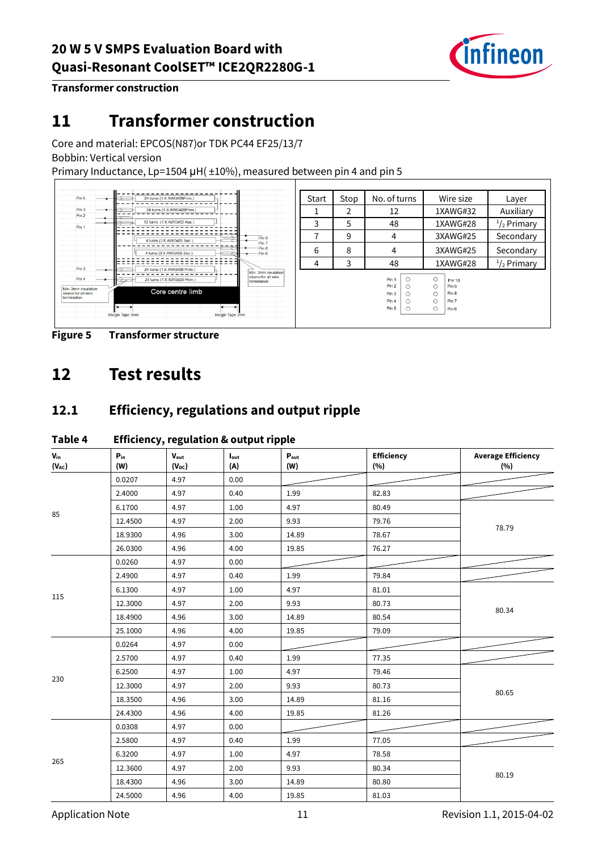

**Transformer construction**

# <span id="page-10-0"></span>**11 Transformer construction**

Core and material: EPCOS(N87)or TDK PC44 EF25/13/7

Bobbin: Vertical version

Primary Inductance, Lp=1504 µH( ±10%), measured between pin 4 and pin 5



**Figure 5 Transformer structure**

# <span id="page-10-1"></span>**12 Test results**

### <span id="page-10-2"></span>**12.1 Efficiency, regulations and output ripple**

| $V_{in}$<br>$(V_{AC})$ | $P_{in}$<br>(W) | $V_{\text{out}}$<br>$(V_{DC})$ | $I_{\text{out}}$<br>(A) | $P_{\text{out}}$<br>(W) | Efficiency<br>(%) | <b>Average Efficiency</b><br>(%) |
|------------------------|-----------------|--------------------------------|-------------------------|-------------------------|-------------------|----------------------------------|
| 85                     | 0.0207          | 4.97                           | 0.00                    |                         |                   |                                  |
|                        | 2.4000          | 4.97                           | 0.40                    | 1.99                    | 82.83             |                                  |
|                        | 6.1700          | 4.97                           | 1.00                    | 4.97                    | 80.49             | 78.79                            |
|                        | 12.4500         | 4.97                           | 2.00                    | 9.93                    | 79.76             |                                  |
|                        | 18.9300         | 4.96                           | 3.00                    | 14.89                   | 78.67             |                                  |
|                        | 26.0300         | 4.96                           | 4.00                    | 19.85                   | 76.27             |                                  |
|                        | 0.0260          | 4.97                           | 0.00                    |                         |                   |                                  |
|                        | 2.4900          | 4.97                           | 0.40                    | 1.99                    | 79.84             |                                  |
|                        | 6.1300          | 4.97                           | 1.00                    | 4.97                    | 81.01             |                                  |
| 115                    | 12.3000         | 4.97                           | 2.00                    | 9.93                    | 80.73             |                                  |
|                        | 18.4900         | 4.96                           | 3.00                    | 14.89                   | 80.54             | 80.34                            |
|                        | 25.1000         | 4.96                           | 4.00                    | 19.85                   | 79.09             |                                  |
|                        | 0.0264          | 4.97                           | 0.00                    |                         |                   |                                  |
|                        | 2.5700          | 4.97                           | 0.40                    | 1.99                    | 77.35             |                                  |
|                        | 6.2500          | 4.97                           | 1.00                    | 4.97                    | 79.46             |                                  |
| 230                    | 12.3000         | 4.97                           | 2.00                    | 9.93                    | 80.73             |                                  |
|                        | 18.3500         | 4.96                           | 3.00                    | 14.89                   | 81.16             | 80.65                            |
|                        | 24.4300         | 4.96                           | 4.00                    | 19.85                   | 81.26             |                                  |
|                        | 0.0308          | 4.97                           | 0.00                    |                         |                   |                                  |
|                        | 2.5800          | 4.97                           | 0.40                    | 1.99                    | 77.05             |                                  |
|                        | 6.3200          | 4.97                           | 1.00                    | 4.97                    | 78.58             |                                  |
| 265                    | 12.3600         | 4.97                           | 2.00                    | 9.93                    | 80.34             |                                  |
|                        | 18.4300         | 4.96                           | 3.00                    | 14.89                   | 80.80             | 80.19                            |
|                        | 24.5000         | 4.96                           | 4.00                    | 19.85                   | 81.03             |                                  |

#### **Table 4 Efficiency, regulation & output ripple**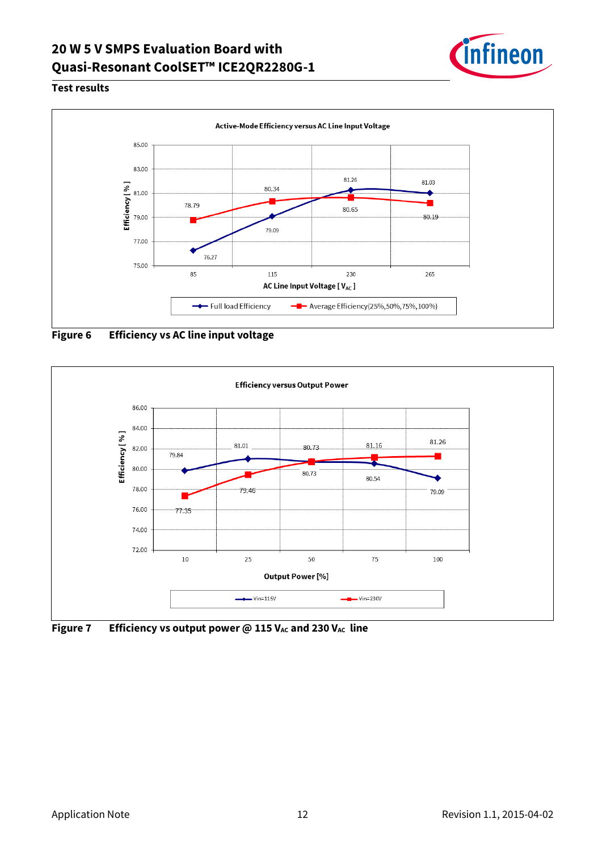### **20 W 5 V SMPS Evaluation Board with Quasi-Resonant CoolSET™ ICE2QR2280G-1**



#### **Test results**



**Figure 6 Efficiency vs AC line input voltage**



**Figure 7 Efficiency vs output power @ 115**  $V_{AC}$  **and 230**  $V_{AC}$  **line**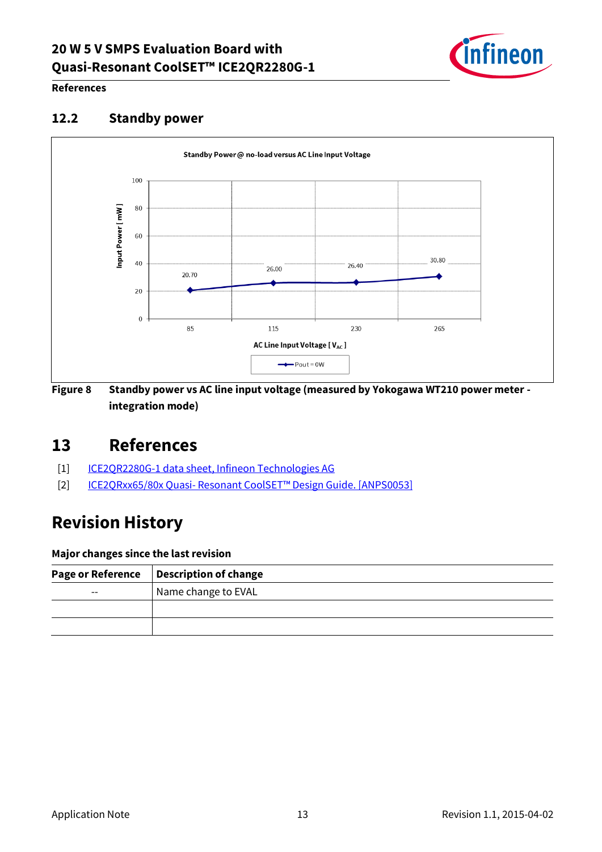### **20 W 5 V SMPS Evaluation Board with Quasi-Resonant CoolSET™ ICE2QR2280G-1**



#### **References**

#### <span id="page-12-0"></span>**12.2 Standby power**



**Figure 8 Standby power vs AC line input voltage (measured by Yokogawa WT210 power meter integration mode)**

### <span id="page-12-1"></span>**13 References**

- [1] ICE2QR2280G-1 [data sheet, Infineon Technologies AG](http://www.infineon.com/dgdl/Infineon-ICE2QR2280G1-DS-v2_2-en.pdf?fileId=db3a30433dd42dcf013dd4f1067601a7)
- [2] ICE2QRxx65/80x Quasi- Resonant CoolSET™ [Design Guide. \[ANPS0053\]](http://www.infineon.com/dgdl/Design+Guide_ICE2QRxx65_80x_Ver11_8Aug2011.pdf?fileId=db3a30432ee77f32012eeb24b0a33941)

# <span id="page-12-2"></span>**Revision History**

#### **Major changes since the last revision**

| <b>Page or Reference</b> | <b>Description of change</b> |
|--------------------------|------------------------------|
| $\overline{\phantom{m}}$ | Name change to EVAL          |
|                          |                              |
|                          |                              |